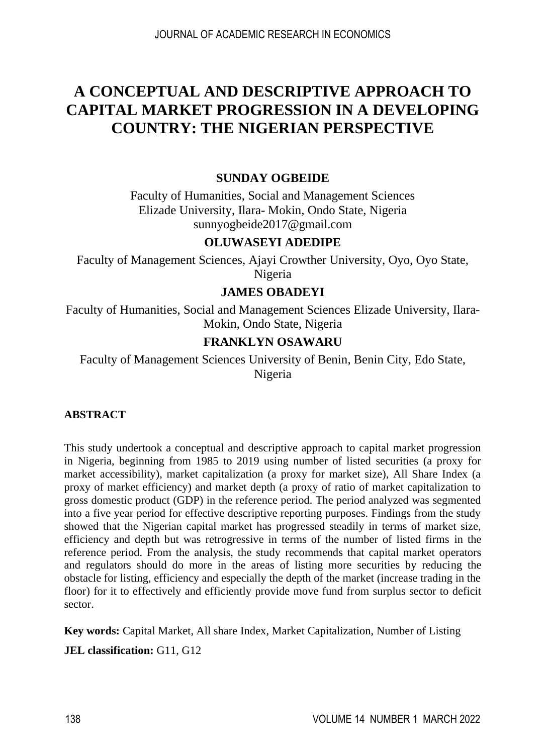# **A CONCEPTUAL AND DESCRIPTIVE APPROACH TO CAPITAL MARKET PROGRESSION IN A DEVELOPING COUNTRY: THE NIGERIAN PERSPECTIVE**

# **SUNDAY OGBEIDE**

Faculty of Humanities, Social and Management Sciences Elizade University, Ilara- Mokin, Ondo State, Nigeria [sunnyogbeide2017@gmail.com](mailto:sunnyogbeide2017@gmail.com)

### **OLUWASEYI ADEDIPE**

Faculty of Management Sciences, Ajayi Crowther University, Oyo, Oyo State, Nigeria

### **JAMES OBADEYI**

Faculty of Humanities, Social and Management Sciences Elizade University, Ilara-Mokin, Ondo State, Nigeria

### **FRANKLYN OSAWARU**

Faculty of Management Sciences University of Benin, Benin City, Edo State, Nigeria

# **ABSTRACT**

This study undertook a conceptual and descriptive approach to capital market progression in Nigeria, beginning from 1985 to 2019 using number of listed securities (a proxy for market accessibility), market capitalization (a proxy for market size), All Share Index (a proxy of market efficiency) and market depth (a proxy of ratio of market capitalization to gross domestic product (GDP) in the reference period. The period analyzed was segmented into a five year period for effective descriptive reporting purposes. Findings from the study showed that the Nigerian capital market has progressed steadily in terms of market size, efficiency and depth but was retrogressive in terms of the number of listed firms in the reference period. From the analysis, the study recommends that capital market operators and regulators should do more in the areas of listing more securities by reducing the obstacle for listing, efficiency and especially the depth of the market (increase trading in the floor) for it to effectively and efficiently provide move fund from surplus sector to deficit sector.

**Key words:** Capital Market, All share Index, Market Capitalization, Number of Listing

**JEL classification:** G11, G12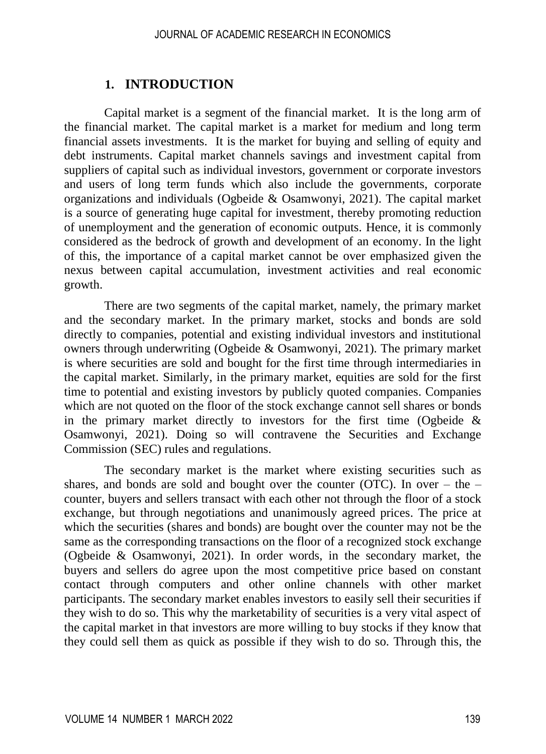# **1. INTRODUCTION**

Capital market is a segment of the financial market. It is the long arm of the financial market. The capital market is a market for medium and long term financial assets investments. It is the market for buying and selling of equity and debt instruments. Capital market channels savings and investment capital from suppliers of capital such as individual investors, government or corporate investors and users of long term funds which also include the governments, corporate organizations and individuals (Ogbeide & Osamwonyi, 2021). The capital market is a source of generating huge capital for investment, thereby promoting reduction of unemployment and the generation of economic outputs. Hence, it is commonly considered as the bedrock of growth and development of an economy. In the light of this, the importance of a capital market cannot be over emphasized given the nexus between capital accumulation, investment activities and real economic growth.

There are two segments of the capital market, namely, the primary market and the secondary market. In the primary market, stocks and bonds are sold directly to companies, potential and existing individual investors and institutional owners through underwriting (Ogbeide & Osamwonyi, 2021). The primary market is where securities are sold and bought for the first time through intermediaries in the capital market. Similarly, in the primary market, equities are sold for the first time to potential and existing investors by publicly quoted companies. Companies which are not quoted on the floor of the stock exchange cannot sell shares or bonds in the primary market directly to investors for the first time (Ogbeide  $\&$ Osamwonyi, 2021). Doing so will contravene the Securities and Exchange Commission (SEC) rules and regulations.

The secondary market is the market where existing securities such as shares, and bonds are sold and bought over the counter (OTC). In over – the – counter, buyers and sellers transact with each other not through the floor of a stock exchange, but through negotiations and unanimously agreed prices. The price at which the securities (shares and bonds) are bought over the counter may not be the same as the corresponding transactions on the floor of a recognized stock exchange (Ogbeide & Osamwonyi, 2021). In order words, in the secondary market, the buyers and sellers do agree upon the most competitive price based on constant contact through computers and other online channels with other market participants. The secondary market enables investors to easily sell their securities if they wish to do so. This why the marketability of securities is a very vital aspect of the capital market in that investors are more willing to buy stocks if they know that they could sell them as quick as possible if they wish to do so. Through this, the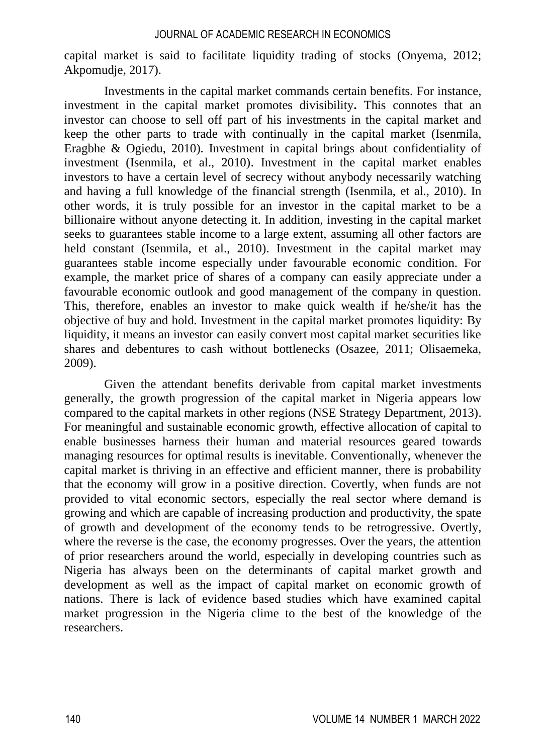capital market is said to facilitate liquidity trading of stocks (Onyema, 2012; Akpomudje, 2017).

Investments in the capital market commands certain benefits. For instance, investment in the capital market promotes divisibility**.** This connotes that an investor can choose to sell off part of his investments in the capital market and keep the other parts to trade with continually in the capital market (Isenmila, Eragbhe & Ogiedu, 2010). Investment in capital brings about confidentiality of investment (Isenmila, et al., 2010). Investment in the capital market enables investors to have a certain level of secrecy without anybody necessarily watching and having a full knowledge of the financial strength (Isenmila, et al., 2010). In other words, it is truly possible for an investor in the capital market to be a billionaire without anyone detecting it. In addition, investing in the capital market seeks to guarantees stable income to a large extent, assuming all other factors are held constant (Isenmila, et al., 2010). Investment in the capital market may guarantees stable income especially under favourable economic condition. For example, the market price of shares of a company can easily appreciate under a favourable economic outlook and good management of the company in question. This, therefore, enables an investor to make quick wealth if he/she/it has the objective of buy and hold. Investment in the capital market promotes liquidity: By liquidity, it means an investor can easily convert most capital market securities like shares and debentures to cash without bottlenecks (Osazee, 2011; Olisaemeka, 2009).

Given the attendant benefits derivable from capital market investments generally, the growth progression of the capital market in Nigeria appears low compared to the capital markets in other regions (NSE Strategy Department, 2013). For meaningful and sustainable economic growth, effective allocation of capital to enable businesses harness their human and material resources geared towards managing resources for optimal results is inevitable. Conventionally, whenever the capital market is thriving in an effective and efficient manner, there is probability that the economy will grow in a positive direction. Covertly, when funds are not provided to vital economic sectors, especially the real sector where demand is growing and which are capable of increasing production and productivity, the spate of growth and development of the economy tends to be retrogressive. Overtly, where the reverse is the case, the economy progresses. Over the years, the attention of prior researchers around the world, especially in developing countries such as Nigeria has always been on the determinants of capital market growth and development as well as the impact of capital market on economic growth of nations. There is lack of evidence based studies which have examined capital market progression in the Nigeria clime to the best of the knowledge of the researchers.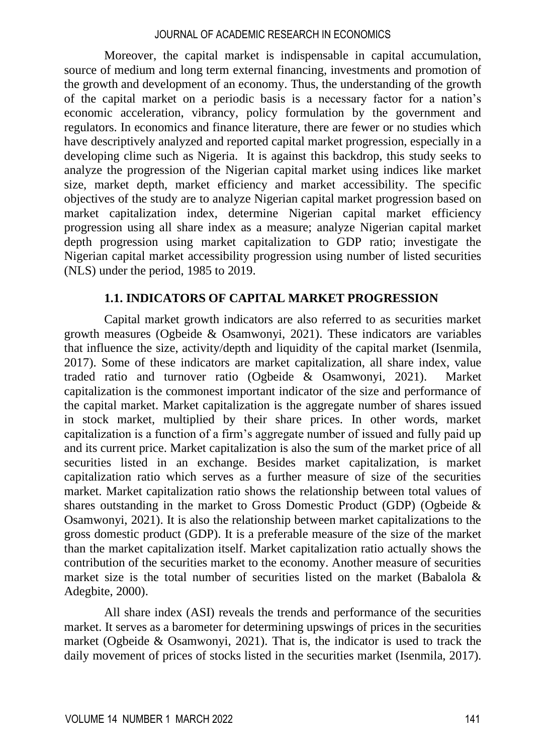Moreover, the capital market is indispensable in capital accumulation, source of medium and long term external financing, investments and promotion of the growth and development of an economy. Thus, the understanding of the growth of the capital market on a periodic basis is a necessary factor for a nation's economic acceleration, vibrancy, policy formulation by the government and regulators. In economics and finance literature, there are fewer or no studies which have descriptively analyzed and reported capital market progression, especially in a developing clime such as Nigeria. It is against this backdrop, this study seeks to analyze the progression of the Nigerian capital market using indices like market size, market depth, market efficiency and market accessibility. The specific objectives of the study are to analyze Nigerian capital market progression based on market capitalization index, determine Nigerian capital market efficiency progression using all share index as a measure; analyze Nigerian capital market depth progression using market capitalization to GDP ratio; investigate the Nigerian capital market accessibility progression using number of listed securities (NLS) under the period, 1985 to 2019.

### **1.1. INDICATORS OF CAPITAL MARKET PROGRESSION**

Capital market growth indicators are also referred to as securities market growth measures (Ogbeide & Osamwonyi, 2021). These indicators are variables that influence the size, activity/depth and liquidity of the capital market (Isenmila, 2017). Some of these indicators are market capitalization, all share index, value traded ratio and turnover ratio (Ogbeide & Osamwonyi, 2021). Market capitalization is the commonest important indicator of the size and performance of the capital market. Market capitalization is the aggregate number of shares issued in stock market, multiplied by their share prices. In other words, market capitalization is a function of a firm's aggregate number of issued and fully paid up and its current price. Market capitalization is also the sum of the market price of all securities listed in an exchange. Besides market capitalization, is market capitalization ratio which serves as a further measure of size of the securities market. Market capitalization ratio shows the relationship between total values of shares outstanding in the market to Gross Domestic Product (GDP) (Ogbeide & Osamwonyi, 2021). It is also the relationship between market capitalizations to the gross domestic product (GDP). It is a preferable measure of the size of the market than the market capitalization itself. Market capitalization ratio actually shows the contribution of the securities market to the economy. Another measure of securities market size is the total number of securities listed on the market (Babalola  $\&$ Adegbite, 2000).

All share index (ASI) reveals the trends and performance of the securities market. It serves as a barometer for determining upswings of prices in the securities market (Ogbeide & Osamwonyi, 2021). That is, the indicator is used to track the daily movement of prices of stocks listed in the securities market (Isenmila, 2017).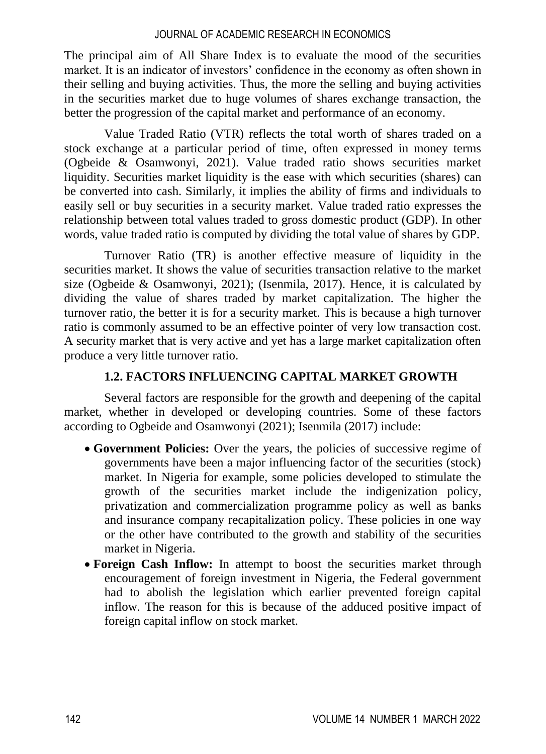The principal aim of All Share Index is to evaluate the mood of the securities market. It is an indicator of investors' confidence in the economy as often shown in their selling and buying activities. Thus, the more the selling and buying activities in the securities market due to huge volumes of shares exchange transaction, the better the progression of the capital market and performance of an economy.

Value Traded Ratio (VTR) reflects the total worth of shares traded on a stock exchange at a particular period of time, often expressed in money terms (Ogbeide & Osamwonyi, 2021). Value traded ratio shows securities market liquidity. Securities market liquidity is the ease with which securities (shares) can be converted into cash. Similarly, it implies the ability of firms and individuals to easily sell or buy securities in a security market. Value traded ratio expresses the relationship between total values traded to gross domestic product (GDP). In other words, value traded ratio is computed by dividing the total value of shares by GDP.

Turnover Ratio (TR) is another effective measure of liquidity in the securities market. It shows the value of securities transaction relative to the market size (Ogbeide & Osamwonyi, 2021); (Isenmila, 2017). Hence, it is calculated by dividing the value of shares traded by market capitalization. The higher the turnover ratio, the better it is for a security market. This is because a high turnover ratio is commonly assumed to be an effective pointer of very low transaction cost. A security market that is very active and yet has a large market capitalization often produce a very little turnover ratio.

# **1.2. FACTORS INFLUENCING CAPITAL MARKET GROWTH**

Several factors are responsible for the growth and deepening of the capital market, whether in developed or developing countries. Some of these factors according to Ogbeide and Osamwonyi (2021); Isenmila (2017) include:

- **Government Policies:** Over the years, the policies of successive regime of governments have been a major influencing factor of the securities (stock) market. In Nigeria for example, some policies developed to stimulate the growth of the securities market include the indigenization policy, privatization and commercialization programme policy as well as banks and insurance company recapitalization policy. These policies in one way or the other have contributed to the growth and stability of the securities market in Nigeria.
- **Foreign Cash Inflow:** In attempt to boost the securities market through encouragement of foreign investment in Nigeria, the Federal government had to abolish the legislation which earlier prevented foreign capital inflow. The reason for this is because of the adduced positive impact of foreign capital inflow on stock market.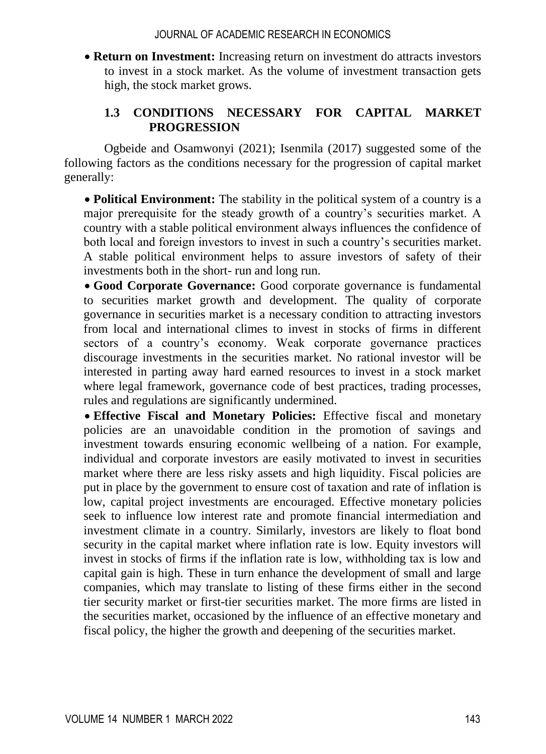• **Return on Investment:** Increasing return on investment do attracts investors to invest in a stock market. As the volume of investment transaction gets high, the stock market grows.

# **1.3 CONDITIONS NECESSARY FOR CAPITAL MARKET PROGRESSION**

Ogbeide and Osamwonyi (2021); Isenmila (2017) suggested some of the following factors as the conditions necessary for the progression of capital market generally:

• **Political Environment:** The stability in the political system of a country is a major prerequisite for the steady growth of a country's securities market. A country with a stable political environment always influences the confidence of both local and foreign investors to invest in such a country's securities market. A stable political environment helps to assure investors of safety of their investments both in the short- run and long run.

• **Good Corporate Governance:** Good corporate governance is fundamental to securities market growth and development. The quality of corporate governance in securities market is a necessary condition to attracting investors from local and international climes to invest in stocks of firms in different sectors of a country's economy. Weak corporate governance practices discourage investments in the securities market. No rational investor will be interested in parting away hard earned resources to invest in a stock market where legal framework, governance code of best practices, trading processes, rules and regulations are significantly undermined.

• **Effective Fiscal and Monetary Policies:** Effective fiscal and monetary policies are an unavoidable condition in the promotion of savings and investment towards ensuring economic wellbeing of a nation. For example, individual and corporate investors are easily motivated to invest in securities market where there are less risky assets and high liquidity. Fiscal policies are put in place by the government to ensure cost of taxation and rate of inflation is low, capital project investments are encouraged. Effective monetary policies seek to influence low interest rate and promote financial intermediation and investment climate in a country. Similarly, investors are likely to float bond security in the capital market where inflation rate is low. Equity investors will invest in stocks of firms if the inflation rate is low, withholding tax is low and capital gain is high. These in turn enhance the development of small and large companies, which may translate to listing of these firms either in the second tier security market or first-tier securities market. The more firms are listed in the securities market, occasioned by the influence of an effective monetary and fiscal policy, the higher the growth and deepening of the securities market.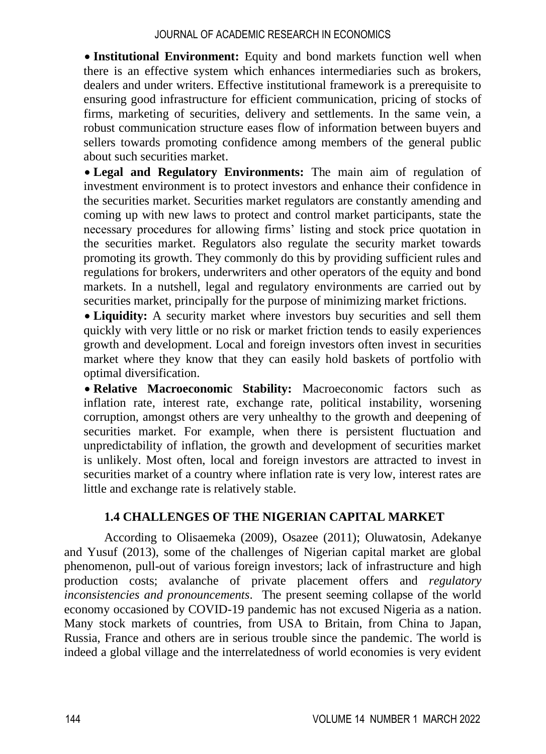• **Institutional Environment:** Equity and bond markets function well when there is an effective system which enhances intermediaries such as brokers, dealers and under writers. Effective institutional framework is a prerequisite to ensuring good infrastructure for efficient communication, pricing of stocks of firms, marketing of securities, delivery and settlements. In the same vein, a robust communication structure eases flow of information between buyers and sellers towards promoting confidence among members of the general public about such securities market.

• **Legal and Regulatory Environments:** The main aim of regulation of investment environment is to protect investors and enhance their confidence in the securities market. Securities market regulators are constantly amending and coming up with new laws to protect and control market participants, state the necessary procedures for allowing firms' listing and stock price quotation in the securities market. Regulators also regulate the security market towards promoting its growth. They commonly do this by providing sufficient rules and regulations for brokers, underwriters and other operators of the equity and bond markets. In a nutshell, legal and regulatory environments are carried out by securities market, principally for the purpose of minimizing market frictions.

• **Liquidity:** A security market where investors buy securities and sell them quickly with very little or no risk or market friction tends to easily experiences growth and development. Local and foreign investors often invest in securities market where they know that they can easily hold baskets of portfolio with optimal diversification.

• **Relative Macroeconomic Stability:** Macroeconomic factors such as inflation rate, interest rate, exchange rate, political instability, worsening corruption, amongst others are very unhealthy to the growth and deepening of securities market. For example, when there is persistent fluctuation and unpredictability of inflation, the growth and development of securities market is unlikely. Most often, local and foreign investors are attracted to invest in securities market of a country where inflation rate is very low, interest rates are little and exchange rate is relatively stable.

# **1.4 CHALLENGES OF THE NIGERIAN CAPITAL MARKET**

According to Olisaemeka (2009), Osazee (2011); Oluwatosin, Adekanye and Yusuf (2013), some of the challenges of Nigerian capital market are global phenomenon, pull-out of various foreign investors; lack of infrastructure and high production costs; avalanche of private placement offers and *regulatory inconsistencies and pronouncements*. The present seeming collapse of the world economy occasioned by COVID-19 pandemic has not excused Nigeria as a nation. Many stock markets of countries, from USA to Britain, from China to Japan, Russia, France and others are in serious trouble since the pandemic. The world is indeed a global village and the interrelatedness of world economies is very evident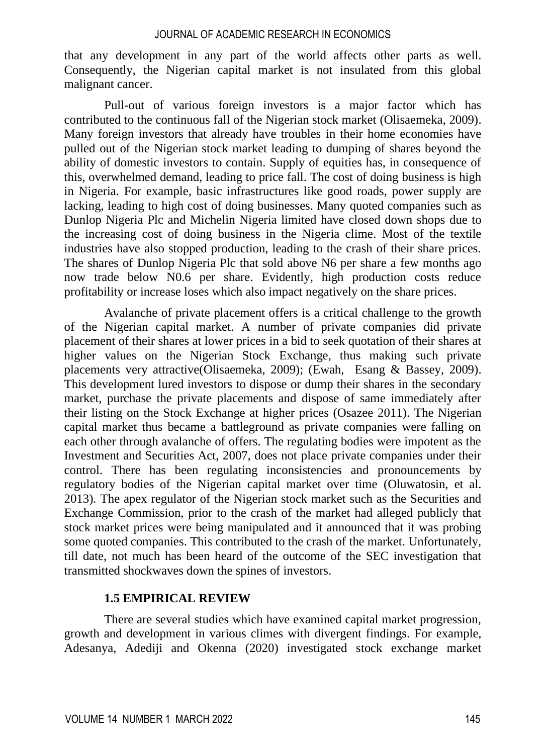that any development in any part of the world affects other parts as well. Consequently, the Nigerian capital market is not insulated from this global malignant cancer.

Pull-out of various foreign investors is a major factor which has contributed to the continuous fall of the Nigerian stock market (Olisaemeka, 2009). Many foreign investors that already have troubles in their home economies have pulled out of the Nigerian stock market leading to dumping of shares beyond the ability of domestic investors to contain. Supply of equities has, in consequence of this, overwhelmed demand, leading to price fall. The cost of doing business is high in Nigeria. For example, basic infrastructures like good roads, power supply are lacking, leading to high cost of doing businesses. Many quoted companies such as Dunlop Nigeria Plc and Michelin Nigeria limited have closed down shops due to the increasing cost of doing business in the Nigeria clime. Most of the textile industries have also stopped production, leading to the crash of their share prices. The shares of Dunlop Nigeria Plc that sold above N6 per share a few months ago now trade below N0.6 per share. Evidently, high production costs reduce profitability or increase loses which also impact negatively on the share prices.

Avalanche of private placement offers is a critical challenge to the growth of the Nigerian capital market. A number of private companies did private placement of their shares at lower prices in a bid to seek quotation of their shares at higher values on the Nigerian Stock Exchange, thus making such private placements very attractive(Olisaemeka, 2009); (Ewah, Esang & Bassey, 2009). This development lured investors to dispose or dump their shares in the secondary market, purchase the private placements and dispose of same immediately after their listing on the Stock Exchange at higher prices (Osazee 2011). The Nigerian capital market thus became a battleground as private companies were falling on each other through avalanche of offers. The regulating bodies were impotent as the Investment and Securities Act, 2007, does not place private companies under their control. There has been regulating inconsistencies and pronouncements by regulatory bodies of the Nigerian capital market over time (Oluwatosin, et al. 2013)*.* The apex regulator of the Nigerian stock market such as the Securities and Exchange Commission, prior to the crash of the market had alleged publicly that stock market prices were being manipulated and it announced that it was probing some quoted companies. This contributed to the crash of the market. Unfortunately, till date, not much has been heard of the outcome of the SEC investigation that transmitted shockwaves down the spines of investors.

### **1.5 EMPIRICAL REVIEW**

There are several studies which have examined capital market progression, growth and development in various climes with divergent findings. For example, Adesanya, Adediji and Okenna (2020) investigated stock exchange market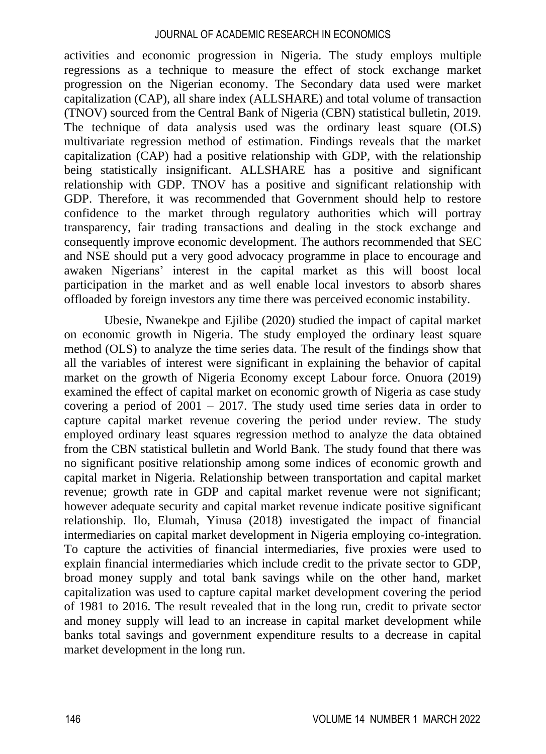activities and economic progression in Nigeria. The study employs multiple regressions as a technique to measure the effect of stock exchange market progression on the Nigerian economy. The Secondary data used were market capitalization (CAP), all share index (ALLSHARE) and total volume of transaction (TNOV) sourced from the Central Bank of Nigeria (CBN) statistical bulletin, 2019. The technique of data analysis used was the ordinary least square (OLS) multivariate regression method of estimation. Findings reveals that the market capitalization (CAP) had a positive relationship with GDP, with the relationship being statistically insignificant. ALLSHARE has a positive and significant relationship with GDP. TNOV has a positive and significant relationship with GDP. Therefore, it was recommended that Government should help to restore confidence to the market through regulatory authorities which will portray transparency, fair trading transactions and dealing in the stock exchange and consequently improve economic development. The authors recommended that SEC and NSE should put a very good advocacy programme in place to encourage and awaken Nigerians' interest in the capital market as this will boost local participation in the market and as well enable local investors to absorb shares offloaded by foreign investors any time there was perceived economic instability.

Ubesie, Nwanekpe and Ejilibe (2020) studied the impact of capital market on economic growth in Nigeria. The study employed the ordinary least square method (OLS) to analyze the time series data. The result of the findings show that all the variables of interest were significant in explaining the behavior of capital market on the growth of Nigeria Economy except Labour force. Onuora (2019) examined the effect of capital market on economic growth of Nigeria as case study covering a period of 2001 – 2017. The study used time series data in order to capture capital market revenue covering the period under review. The study employed ordinary least squares regression method to analyze the data obtained from the CBN statistical bulletin and World Bank. The study found that there was no significant positive relationship among some indices of economic growth and capital market in Nigeria. Relationship between transportation and capital market revenue; growth rate in GDP and capital market revenue were not significant; however adequate security and capital market revenue indicate positive significant relationship. Ilo, Elumah, Yinusa (2018) investigated the impact of financial intermediaries on capital market development in Nigeria employing co-integration. To capture the activities of financial intermediaries, five proxies were used to explain financial intermediaries which include credit to the private sector to GDP, broad money supply and total bank savings while on the other hand, market capitalization was used to capture capital market development covering the period of 1981 to 2016. The result revealed that in the long run, credit to private sector and money supply will lead to an increase in capital market development while banks total savings and government expenditure results to a decrease in capital market development in the long run.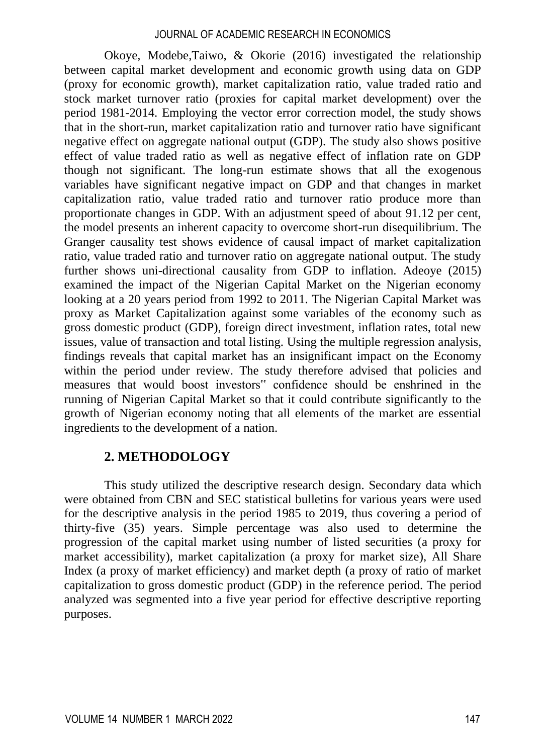Okoye, Modebe,Taiwo, & Okorie (2016) investigated the relationship between capital market development and economic growth using data on GDP (proxy for economic growth), market capitalization ratio, value traded ratio and stock market turnover ratio (proxies for capital market development) over the period 1981-2014. Employing the vector error correction model, the study shows that in the short-run, market capitalization ratio and turnover ratio have significant negative effect on aggregate national output (GDP). The study also shows positive effect of value traded ratio as well as negative effect of inflation rate on GDP though not significant. The long-run estimate shows that all the exogenous variables have significant negative impact on GDP and that changes in market capitalization ratio, value traded ratio and turnover ratio produce more than proportionate changes in GDP. With an adjustment speed of about 91.12 per cent, the model presents an inherent capacity to overcome short-run disequilibrium. The Granger causality test shows evidence of causal impact of market capitalization ratio, value traded ratio and turnover ratio on aggregate national output. The study further shows uni-directional causality from GDP to inflation. Adeoye (2015) examined the impact of the Nigerian Capital Market on the Nigerian economy looking at a 20 years period from 1992 to 2011. The Nigerian Capital Market was proxy as Market Capitalization against some variables of the economy such as gross domestic product (GDP), foreign direct investment, inflation rates, total new issues, value of transaction and total listing. Using the multiple regression analysis, findings reveals that capital market has an insignificant impact on the Economy within the period under review. The study therefore advised that policies and measures that would boost investors" confidence should be enshrined in the running of Nigerian Capital Market so that it could contribute significantly to the growth of Nigerian economy noting that all elements of the market are essential ingredients to the development of a nation.

# **2. METHODOLOGY**

This study utilized the descriptive research design. Secondary data which were obtained from CBN and SEC statistical bulletins for various years were used for the descriptive analysis in the period 1985 to 2019, thus covering a period of thirty-five (35) years. Simple percentage was also used to determine the progression of the capital market using number of listed securities (a proxy for market accessibility), market capitalization (a proxy for market size), All Share Index (a proxy of market efficiency) and market depth (a proxy of ratio of market capitalization to gross domestic product (GDP) in the reference period. The period analyzed was segmented into a five year period for effective descriptive reporting purposes.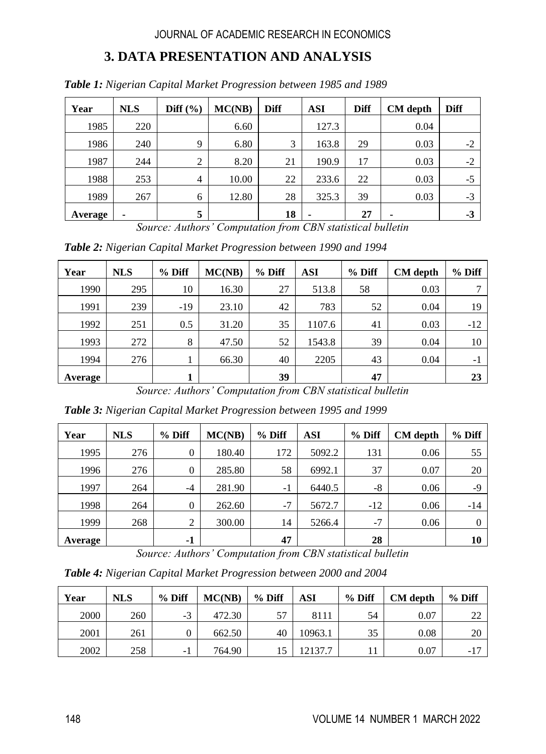# **3. DATA PRESENTATION AND ANALYSIS**

| Year    | <b>NLS</b> | Diff $(\%)$    | MC(NB) | <b>Diff</b> | <b>ASI</b> | <b>Diff</b> | <b>CM</b> depth | <b>Diff</b> |
|---------|------------|----------------|--------|-------------|------------|-------------|-----------------|-------------|
| 1985    | 220        |                | 6.60   |             | 127.3      |             | 0.04            |             |
| 1986    | 240        | 9              | 6.80   | 3           | 163.8      | 29          | 0.03            | $-2$        |
| 1987    | 244        | 2              | 8.20   | 21          | 190.9      | 17          | 0.03            | $-2$        |
| 1988    | 253        | $\overline{4}$ | 10.00  | 22          | 233.6      | 22          | 0.03            | $-5$        |
| 1989    | 267        | 6              | 12.80  | 28          | 325.3      | 39          | 0.03            | $-3$        |
| Average | ٠          | 5              |        | 18          |            | 27          |                 | $-3$        |

*Table 1: Nigerian Capital Market Progression between 1985 and 1989*

*Source: Authors' Computation from CBN statistical bulletin*

*Table 2: Nigerian Capital Market Progression between 1990 and 1994*

| Year    | <b>NLS</b> | $%$ Diff | MC(NB) | $%$ Diff | <b>ASI</b> | % Diff | <b>CM</b> depth | % Diff |
|---------|------------|----------|--------|----------|------------|--------|-----------------|--------|
| 1990    | 295        | 10       | 16.30  | 27       | 513.8      | 58     | 0.03            |        |
| 1991    | 239        | $-19$    | 23.10  | 42       | 783        | 52     | 0.04            | 19     |
| 1992    | 251        | 0.5      | 31.20  | 35       | 1107.6     | 41     | 0.03            | $-12$  |
| 1993    | 272        | 8        | 47.50  | 52       | 1543.8     | 39     | 0.04            | 10     |
| 1994    | 276        |          | 66.30  | 40       | 2205       | 43     | 0.04            | -1     |
| Average |            |          |        | 39       |            | 47     |                 | 23     |

*Source: Authors' Computation from CBN statistical bulletin*

*Table 3: Nigerian Capital Market Progression between 1995 and 1999*

| Year    | <b>NLS</b> | $%$ Diff     | MC(NB) | $%$ Diff | <b>ASI</b> | $%$ Diff | <b>CM</b> depth | % Diff   |
|---------|------------|--------------|--------|----------|------------|----------|-----------------|----------|
| 1995    | 276        | $\mathbf{0}$ | 180.40 | 172      | 5092.2     | 131      | 0.06            | 55       |
| 1996    | 276        | $\mathbf{0}$ | 285.80 | 58       | 6992.1     | 37       | 0.07            | 20       |
| 1997    | 264        | $-4$         | 281.90 | $-1$     | 6440.5     | $-8$     | 0.06            | $-9$     |
| 1998    | 264        | $\mathbf{0}$ | 262.60 | $-7$     | 5672.7     | $-12$    | 0.06            | $-14$    |
| 1999    | 268        | 2            | 300.00 | 14       | 5266.4     | $-7$     | 0.06            | $\Omega$ |
| Average |            | $-1$         |        | 47       |            | 28       |                 | 10       |

*Source: Authors' Computation from CBN statistical bulletin*

*Table 4: Nigerian Capital Market Progression between 2000 and 2004*

| Year | <b>NLS</b> | % Diff | MC(NB) | % Diff | ASI     | $%$ Diff | <b>CM</b> depth | $%$ Diff |
|------|------------|--------|--------|--------|---------|----------|-----------------|----------|
| 2000 | 260        | $-3$   | 472.30 |        | 8111    | 54       | 0.07            | ∠∠       |
| 2001 | 261        |        | 662.50 | 40     | 10963.1 | 35       | 0.08            | 20       |
| 2002 | 258        | - 1    | 764.90 |        | 12137.7 |          | 0.07            | $-17$    |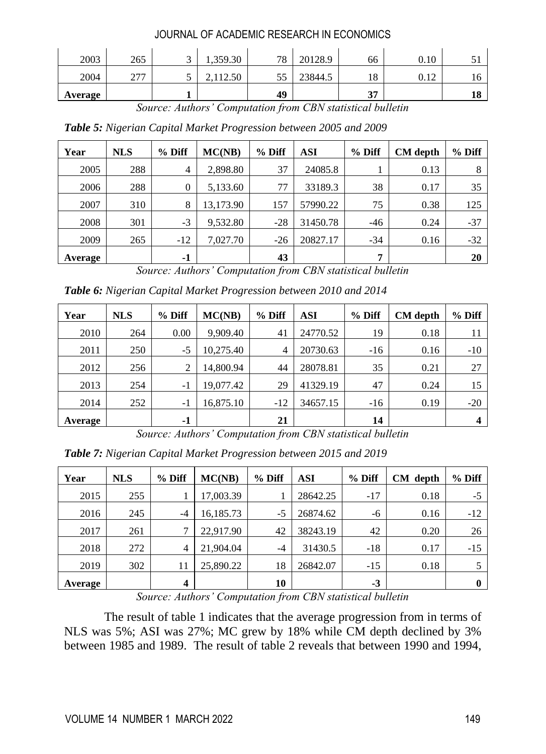| 2003    | 265         | ◡ | 1,359.30 | 78 | 20128.9 | 66      | 0.10         |          |
|---------|-------------|---|----------|----|---------|---------|--------------|----------|
| 2004    | 277<br>21 I | ັ | 112.50   | JJ | 23844.5 | 18      | 0.12<br>∪.⊥∠ | 10.      |
| Average |             |   |          | 49 |         | 27<br>ັ |              | 10<br>10 |

*Source: Authors' Computation from CBN statistical bulletin*

*Table 5: Nigerian Capital Market Progression between 2005 and 2009*

| Year    | <b>NLS</b> | % Diff         | MC(NB)    | $%$ Diff | <b>ASI</b> | $%$ Diff | <b>CM</b> depth | % Diff |
|---------|------------|----------------|-----------|----------|------------|----------|-----------------|--------|
| 2005    | 288        | $\overline{4}$ | 2,898.80  | 37       | 24085.8    |          | 0.13            | 8      |
| 2006    | 288        | $\theta$       | 5,133.60  | 77       | 33189.3    | 38       | 0.17            | 35     |
| 2007    | 310        | 8              | 13,173.90 | 157      | 57990.22   | 75       | 0.38            | 125    |
| 2008    | 301        | $-3$           | 9,532.80  | $-28$    | 31450.78   | $-46$    | 0.24            | $-37$  |
| 2009    | 265        | $-12$          | 7,027.70  | $-26$    | 20827.17   | $-34$    | 0.16            | $-32$  |
| Average |            | -1             |           | 43       |            | 7        |                 | 20     |

*Source: Authors' Computation from CBN statistical bulletin*

*Table 6: Nigerian Capital Market Progression between 2010 and 2014*

| Year    | <b>NLS</b> | % Diff | MC(NB)    | $%$ Diff       | <b>ASI</b> | % Diff | CM depth | % Diff |
|---------|------------|--------|-----------|----------------|------------|--------|----------|--------|
| 2010    | 264        | 0.00   | 9.909.40  | 41             | 24770.52   | 19     | 0.18     | 11     |
| 2011    | 250        | $-5$   | 10,275.40 | $\overline{4}$ | 20730.63   | $-16$  | 0.16     | $-10$  |
| 2012    | 256        | 2      | 14,800.94 | 44             | 28078.81   | 35     | 0.21     | 27     |
| 2013    | 254        | $-1$   | 19,077.42 | 29             | 41329.19   | 47     | 0.24     | 15     |
| 2014    | 252        | $-1$   | 16.875.10 | $-12$          | 34657.15   | $-16$  | 0.19     | $-20$  |
| Average |            | $-1$   |           | 21             |            | 14     |          |        |

*Source: Authors' Computation from CBN statistical bulletin*

*Table 7: Nigerian Capital Market Progression between 2015 and 2019*

| Year    | <b>NLS</b> | $%$ Diff | MC(NB)    | $%$ Diff | ASI      | % Diff | CM depth | % Diff |
|---------|------------|----------|-----------|----------|----------|--------|----------|--------|
| 2015    | 255        |          | 17,003.39 |          | 28642.25 | $-17$  | 0.18     | $-5$   |
| 2016    | 245        | $-4$     | 16,185.73 | $-5$     | 26874.62 | -6     | 0.16     | $-12$  |
| 2017    | 261        | 7        | 22,917.90 | 42       | 38243.19 | 42     | 0.20     | 26     |
| 2018    | 272        | 4        | 21,904.04 | $-4$     | 31430.5  | $-18$  | 0.17     | $-15$  |
| 2019    | 302        | 11       | 25,890.22 | 18       | 26842.07 | $-15$  | 0.18     |        |
| Average |            | 4        |           | 10       |          | $-3$   |          | 0      |

*Source: Authors' Computation from CBN statistical bulletin*

The result of table 1 indicates that the average progression from in terms of NLS was 5%; ASI was 27%; MC grew by 18% while CM depth declined by 3% between 1985 and 1989. The result of table 2 reveals that between 1990 and 1994,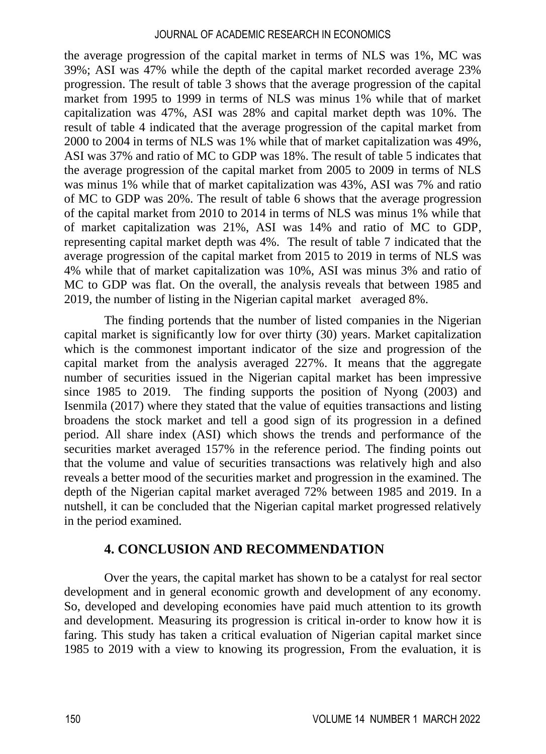the average progression of the capital market in terms of NLS was 1%, MC was 39%; ASI was 47% while the depth of the capital market recorded average 23% progression. The result of table 3 shows that the average progression of the capital market from 1995 to 1999 in terms of NLS was minus 1% while that of market capitalization was 47%, ASI was 28% and capital market depth was 10%. The result of table 4 indicated that the average progression of the capital market from 2000 to 2004 in terms of NLS was 1% while that of market capitalization was 49%, ASI was 37% and ratio of MC to GDP was 18%. The result of table 5 indicates that the average progression of the capital market from 2005 to 2009 in terms of NLS was minus 1% while that of market capitalization was 43%, ASI was 7% and ratio of MC to GDP was 20%. The result of table 6 shows that the average progression of the capital market from 2010 to 2014 in terms of NLS was minus 1% while that of market capitalization was 21%, ASI was 14% and ratio of MC to GDP, representing capital market depth was 4%. The result of table 7 indicated that the average progression of the capital market from 2015 to 2019 in terms of NLS was 4% while that of market capitalization was 10%, ASI was minus 3% and ratio of MC to GDP was flat. On the overall, the analysis reveals that between 1985 and 2019, the number of listing in the Nigerian capital market averaged 8%.

The finding portends that the number of listed companies in the Nigerian capital market is significantly low for over thirty (30) years. Market capitalization which is the commonest important indicator of the size and progression of the capital market from the analysis averaged 227%. It means that the aggregate number of securities issued in the Nigerian capital market has been impressive since 1985 to 2019. The finding supports the position of Nyong (2003) and Isenmila (2017) where they stated that the value of equities transactions and listing broadens the stock market and tell a good sign of its progression in a defined period. All share index (ASI) which shows the trends and performance of the securities market averaged 157% in the reference period. The finding points out that the volume and value of securities transactions was relatively high and also reveals a better mood of the securities market and progression in the examined. The depth of the Nigerian capital market averaged 72% between 1985 and 2019. In a nutshell, it can be concluded that the Nigerian capital market progressed relatively in the period examined.

# **4. CONCLUSION AND RECOMMENDATION**

Over the years, the capital market has shown to be a catalyst for real sector development and in general economic growth and development of any economy. So, developed and developing economies have paid much attention to its growth and development. Measuring its progression is critical in-order to know how it is faring. This study has taken a critical evaluation of Nigerian capital market since 1985 to 2019 with a view to knowing its progression, From the evaluation, it is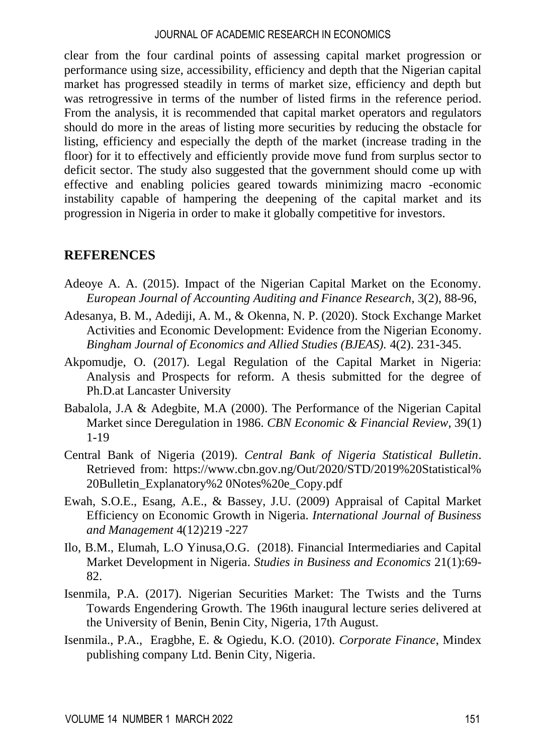clear from the four cardinal points of assessing capital market progression or performance using size, accessibility, efficiency and depth that the Nigerian capital market has progressed steadily in terms of market size, efficiency and depth but was retrogressive in terms of the number of listed firms in the reference period. From the analysis, it is recommended that capital market operators and regulators should do more in the areas of listing more securities by reducing the obstacle for listing, efficiency and especially the depth of the market (increase trading in the floor) for it to effectively and efficiently provide move fund from surplus sector to deficit sector. The study also suggested that the government should come up with effective and enabling policies geared towards minimizing macro -economic instability capable of hampering the deepening of the capital market and its progression in Nigeria in order to make it globally competitive for investors.

# **REFERENCES**

- Adeoye A. A. (2015). Impact of the Nigerian Capital Market on the Economy. *European Journal of Accounting Auditing and Finance Research*, 3(2), 88-96,
- Adesanya, B. M., Adediji, A. M., & Okenna, N. P. (2020). Stock Exchange Market Activities and Economic Development: Evidence from the Nigerian Economy. *Bingham Journal of Economics and Allied Studies (BJEAS).* 4(2). 231-345.
- Akpomudje, O. (2017). Legal Regulation of the Capital Market in Nigeria: Analysis and Prospects for reform. A thesis submitted for the degree of Ph.D.at Lancaster University
- Babalola, J.A & Adegbite, M.A (2000). The Performance of the Nigerian Capital Market since Deregulation in 1986. *CBN Economic & Financial Review*, 39(1) 1-19
- Central Bank of Nigeria (2019). *Central Bank of Nigeria Statistical Bulletin*. Retrieved from: [https://www.cbn.gov.ng/Out/2020/STD/2019%20Statistical%](https://www.cbn.gov.ng/Out/2020/STD/2019%20Statistical%25) 20Bulletin\_Explanatory%2 0Notes%20e\_Copy.pdf
- Ewah, S.O.E., Esang, A.E., & Bassey, J.U. (2009) Appraisal of Capital Market Efficiency on Economic Growth in Nigeria. *International Journal of Business and Management* 4(12)219 -227
- Ilo, B.M., Elumah, L.O Yinusa,O.G. (2018). Financial Intermediaries and Capital Market Development in Nigeria. *Studies in Business and Economics* 21(1):69- 82.
- Isenmila, P.A. (2017). Nigerian Securities Market: The Twists and the Turns Towards Engendering Growth. The 196th inaugural lecture series delivered at the University of Benin, Benin City, Nigeria, 17th August.
- Isenmila., P.A., Eragbhe, E. & Ogiedu, K.O. (2010). *Corporate Finance*, Mindex publishing company Ltd. Benin City, Nigeria.